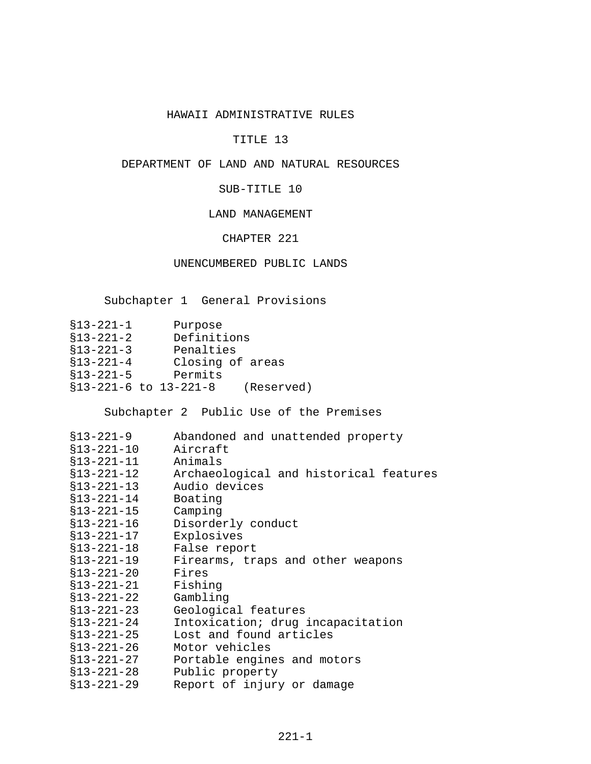## HAWAII ADMINISTRATIVE RULES

# TITLE 13

## DEPARTMENT OF LAND AND NATURAL RESOURCES

## SUB-TITLE 10

## LAND MANAGEMENT

# CHAPTER 221

## UNENCUMBERED PUBLIC LANDS

[Subchapter 1 General Provisions](#page-1-0)

| $$13 - 221 - 1$       | Purpose     |                  |
|-----------------------|-------------|------------------|
| $$13 - 221 - 2$       | Definitions |                  |
| $$13 - 221 - 3$       | Penalties   |                  |
| $$13 - 221 - 4$       |             | Closing of areas |
| $$13 - 221 - 5$       | Permits     |                  |
| §13-221-6 to 13-221-8 |             | (Reserved)       |

[Subchapter 2 Public Use of the Premises](#page-3-0)

| \$13-221-9       | Abandoned and unattended property      |
|------------------|----------------------------------------|
| $$13 - 221 - 10$ | Aircraft                               |
| $$13 - 221 - 11$ | Animals                                |
| $$13 - 221 - 12$ | Archaeological and historical features |
| $$13 - 221 - 13$ | Audio devices                          |
| $$13 - 221 - 14$ | Boating                                |
| $$13 - 221 - 15$ | Camping                                |
| $$13 - 221 - 16$ | Disorderly conduct                     |
| $$13 - 221 - 17$ | Explosives                             |
| $$13 - 221 - 18$ | False report                           |
| $$13 - 221 - 19$ | Firearms, traps and other weapons      |
| $$13 - 221 - 20$ | Fires                                  |
| $$13 - 221 - 21$ | Fishing                                |
| $$13 - 221 - 22$ | Gambling                               |
| $$13 - 221 - 23$ | Geological features                    |
| $$13 - 221 - 24$ | Intoxication; drug incapacitation      |
| $$13 - 221 - 25$ | Lost and found articles                |
| $$13 - 221 - 26$ | Motor vehicles                         |
| $$13 - 221 - 27$ | Portable engines and motors            |
| $$13 - 221 - 28$ | Public property                        |
| $$13 - 221 - 29$ | Report of injury or damage             |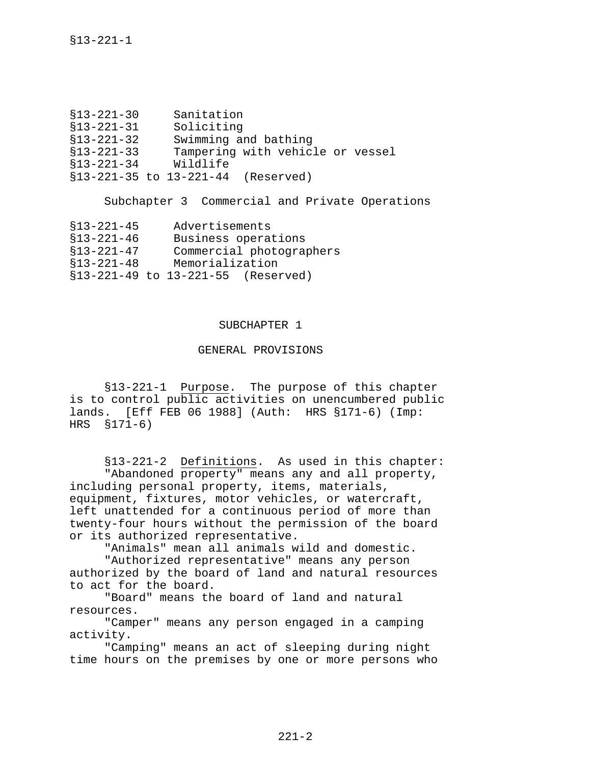<span id="page-1-0"></span>

| Soliciting<br>$$13 - 221 - 31$                       |  |
|------------------------------------------------------|--|
|                                                      |  |
| Swimming and bathing<br>$$13 - 221 - 32$             |  |
| Tampering with vehicle or vessel<br>$$13 - 221 - 33$ |  |
| Wildlife<br>$$13 - 221 - 34$                         |  |
| §13-221-35 to 13-221-44 (Reserved)                   |  |

[Subchapter 3 Commercial and Private Operations](#page-10-0)

| $$13 - 221 - 45$ | Advertisements                     |  |
|------------------|------------------------------------|--|
| $$13 - 221 - 46$ | Business operations                |  |
| $$13-221-47$     | Commercial photographers           |  |
| $$13-221-48$     | Memorialization                    |  |
|                  | §13-221-49 to 13-221-55 (Reserved) |  |

## SUBCHAPTER 1

## GENERAL PROVISIONS

§13-221-1 Purpose. The purpose of this chapter is to control public activities on unencumbered public lands. [Eff FEB 06 1988] (Auth: HRS §171-6) (Imp: HRS §171-6)

§13-221-2 Definitions. As used in this chapter: "Abandoned property" means any and all property, including personal property, items, materials, equipment, fixtures, motor vehicles, or watercraft, left unattended for a continuous period of more than twenty-four hours without the permission of the board or its authorized representative.

"Animals" mean all animals wild and domestic.

"Authorized representative" means any person authorized by the board of land and natural resources to act for the board.

"Board" means the board of land and natural resources.

"Camper" means any person engaged in a camping activity.

"Camping" means an act of sleeping during night time hours on the premises by one or more persons who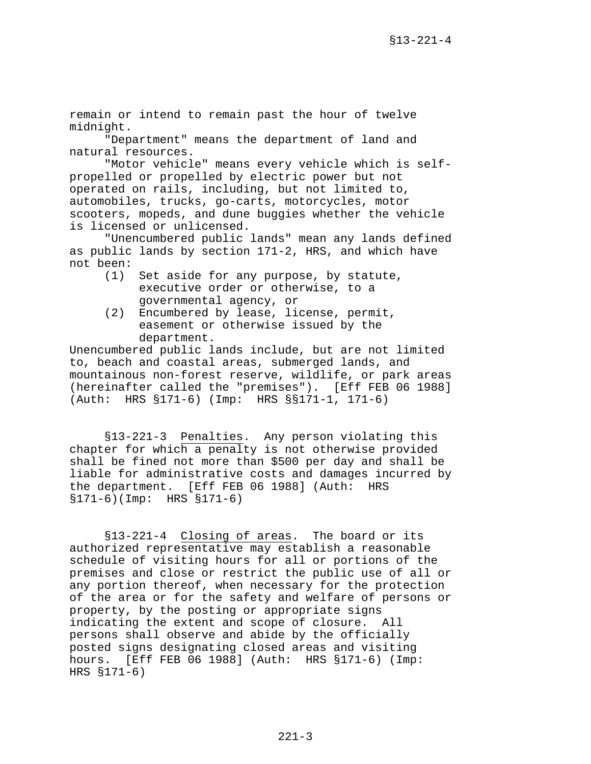<span id="page-2-0"></span>remain or intend to remain past the hour of twelve midnight.

"Department" means the department of land and natural resources.

"Motor vehicle" means every vehicle which is selfpropelled or propelled by electric power but not operated on rails, including, but not limited to, automobiles, trucks, go-carts, motorcycles, motor scooters, mopeds, and dune buggies whether the vehicle is licensed or unlicensed.

"Unencumbered public lands" mean any lands defined as public lands by section 171-2, HRS, and which have not been:

- (1) Set aside for any purpose, by statute, executive order or otherwise, to a governmental agency, or
- (2) Encumbered by lease, license, permit, easement or otherwise issued by the department.

Unencumbered public lands include, but are not limited to, beach and coastal areas, submerged lands, and mountainous non-forest reserve, wildlife, or park areas (hereinafter called the "premises"). [Eff FEB 06 1988] (Auth: HRS §171-6) (Imp: HRS §§171-1, 171-6)

§13-221-3 Penalties. Any person violating this chapter for which a penalty is not otherwise provided shall be fined not more than \$500 per day and shall be liable for administrative costs and damages incurred by the department. [Eff FEB 06 1988] (Auth: HRS §171-6)(Imp: HRS §171-6)

§13-221-4 Closing of areas. The board or its authorized representative may establish a reasonable schedule of visiting hours for all or portions of the premises and close or restrict the public use of all or any portion thereof, when necessary for the protection of the area or for the safety and welfare of persons or property, by the posting or appropriate signs indicating the extent and scope of closure. All persons shall observe and abide by the officially posted signs designating closed areas and visiting hours. [Eff FEB 06 1988] (Auth: HRS §171-6) (Imp: HRS §171-6)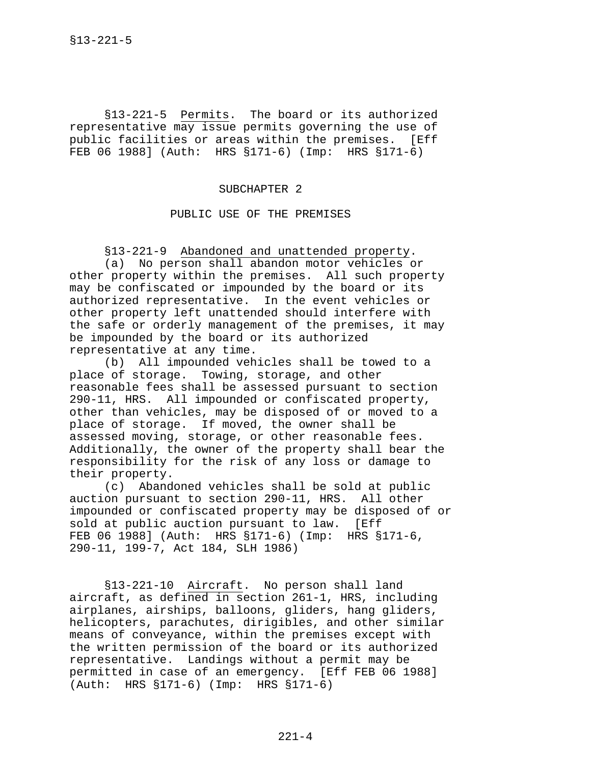<span id="page-3-0"></span>§13-221-5 Permits. The board or its authorized representative may issue permits governing the use of public facilities or areas within the premises. [Eff FEB 06 1988] (Auth: HRS §171-6) (Imp: HRS §171-6)

#### SUBCHAPTER 2

#### PUBLIC USE OF THE PREMISES

§13-221-9 Abandoned and unattended property.

(a) No person shall abandon motor vehicles or other property within the premises. All such property may be confiscated or impounded by the board or its authorized representative. In the event vehicles or other property left unattended should interfere with the safe or orderly management of the premises, it may be impounded by the board or its authorized representative at any time.

(b) All impounded vehicles shall be towed to a place of storage. Towing, storage, and other reasonable fees shall be assessed pursuant to section 290-11, HRS. All impounded or confiscated property, other than vehicles, may be disposed of or moved to a place of storage. If moved, the owner shall be assessed moving, storage, or other reasonable fees. Additionally, the owner of the property shall bear the responsibility for the risk of any loss or damage to their property.

(c) Abandoned vehicles shall be sold at public auction pursuant to section 290-11, HRS. All other impounded or confiscated property may be disposed of or sold at public auction pursuant to law. [Eff FEB 06 1988] (Auth: HRS §171-6) (Imp: HRS §171-6, 290-11, 199-7, Act 184, SLH 1986)

§13-221-10 Aircraft. No person shall land aircraft, as defined in section 261-1, HRS, including airplanes, airships, balloons, gliders, hang gliders, helicopters, parachutes, dirigibles, and other similar means of conveyance, within the premises except with the written permission of the board or its authorized representative. Landings without a permit may be permitted in case of an emergency. [Eff FEB 06 1988] (Auth: HRS §171-6) (Imp: HRS §171-6)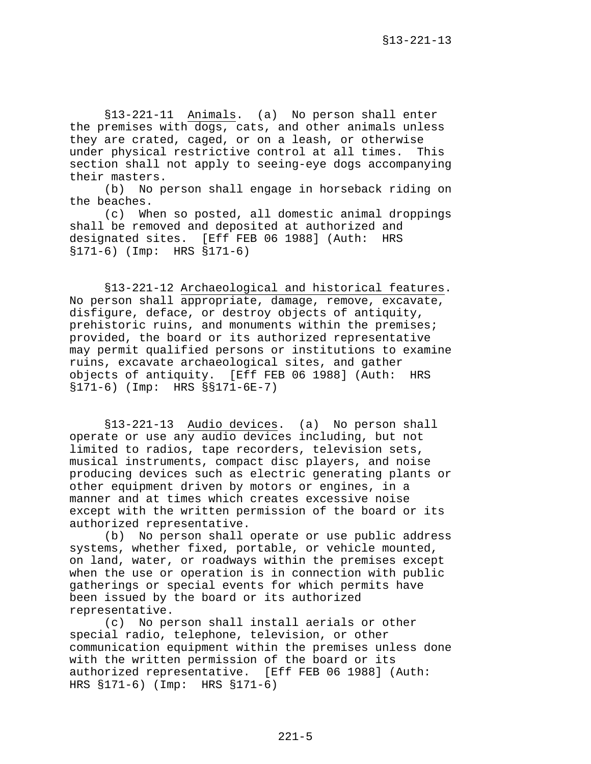<span id="page-4-0"></span>§13-221-11 Animals. (a) No person shall enter the premises with dogs, cats, and other animals unless they are crated, caged, or on a leash, or otherwise under physical restrictive control at all times. This section shall not apply to seeing-eye dogs accompanying their masters.

(b) No person shall engage in horseback riding on the beaches.

(c) When so posted, all domestic animal droppings shall be removed and deposited at authorized and designated sites. [Eff FEB 06 1988] (Auth: HRS §171-6) (Imp: HRS §171-6)

§13-221-12 Archaeological and historical features. No person shall appropriate, damage, remove, excavate, disfigure, deface, or destroy objects of antiquity, prehistoric ruins, and monuments within the premises; provided, the board or its authorized representative may permit qualified persons or institutions to examine ruins, excavate archaeological sites, and gather objects of antiquity. [Eff FEB 06 1988] (Auth: HRS §171-6) (Imp: HRS §§171-6E-7)

§13-221-13 Audio devices. (a) No person shall operate or use any audio devices including, but not limited to radios, tape recorders, television sets, musical instruments, compact disc players, and noise producing devices such as electric generating plants or other equipment driven by motors or engines, in a manner and at times which creates excessive noise except with the written permission of the board or its authorized representative.

(b) No person shall operate or use public address systems, whether fixed, portable, or vehicle mounted, on land, water, or roadways within the premises except when the use or operation is in connection with public gatherings or special events for which permits have been issued by the board or its authorized representative.

(c) No person shall install aerials or other special radio, telephone, television, or other communication equipment within the premises unless done with the written permission of the board or its authorized representative. [Eff FEB 06 1988] (Auth: HRS §171-6) (Imp: HRS §171-6)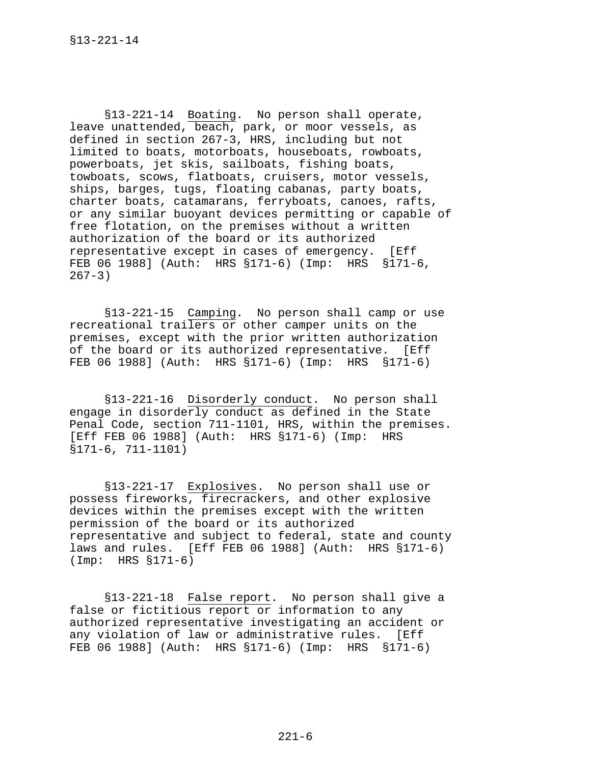<span id="page-5-0"></span>§13-221-14 Boating. No person shall operate, leave unattended, beach, park, or moor vessels, as defined in section 267-3, HRS, including but not limited to boats, motorboats, houseboats, rowboats, powerboats, jet skis, sailboats, fishing boats, towboats, scows, flatboats, cruisers, motor vessels, ships, barges, tugs, floating cabanas, party boats, charter boats, catamarans, ferryboats, canoes, rafts, or any similar buoyant devices permitting or capable of free flotation, on the premises without a written authorization of the board or its authorized representative except in cases of emergency. [Eff FEB 06 1988] (Auth: HRS §171-6) (Imp: HRS §171-6,  $267 - 3)$ 

§13-221-15 Camping. No person shall camp or use recreational trailers or other camper units on the premises, except with the prior written authorization of the board or its authorized representative. [Eff FEB 06 1988] (Auth: HRS §171-6) (Imp: HRS §171-6)

§13-221-16 Disorderly conduct. No person shall engage in disorderly conduct as defined in the State Penal Code, section 711-1101, HRS, within the premises. [Eff FEB 06 1988] (Auth: HRS §171-6) (Imp: HRS §171-6, 711-1101)

§13-221-17 Explosives. No person shall use or possess fireworks, firecrackers, and other explosive devices within the premises except with the written permission of the board or its authorized representative and subject to federal, state and county laws and rules. [Eff FEB 06 1988] (Auth: HRS §171-6) (Imp: HRS §171-6)

§13-221-18 False report. No person shall give a false or fictitious report or information to any authorized representative investigating an accident or any violation of law or administrative rules. [Eff FEB 06 1988] (Auth: HRS §171-6) (Imp: HRS §171-6)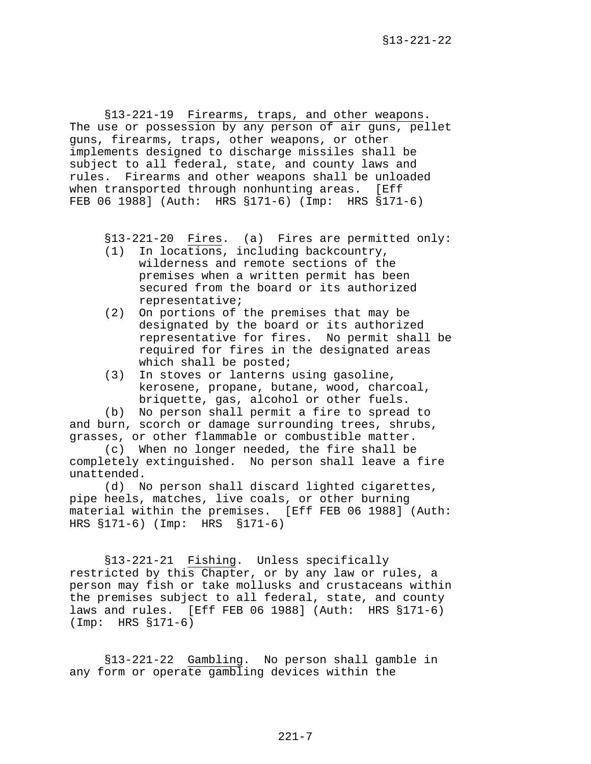<span id="page-6-0"></span>§13-221-19 Firearms, traps, and other weapons. The use or possession by any person of air guns, pellet guns, firearms, traps, other weapons, or other implements designed to discharge missiles shall be subject to all federal, state, and county laws and rules. Firearms and other weapons shall be unloaded when transported through nonhunting areas. [Eff FEB 06 1988] (Auth: HRS §171-6) (Imp: HRS §171-6)

§13-221-20 Fires. (a) Fires are permitted only:

- (1) In locations, including backcountry, wilderness and remote sections of the premises when a written permit has been secured from the board or its authorized representative;
- (2) On portions of the premises that may be designated by the board or its authorized representative for fires. No permit shall be required for fires in the designated areas which shall be posted;
- (3) In stoves or lanterns using gasoline, kerosene, propane, butane, wood, charcoal, briquette, gas, alcohol or other fuels.

(b) No person shall permit a fire to spread to and burn, scorch or damage surrounding trees, shrubs, grasses, or other flammable or combustible matter.

(c) When no longer needed, the fire shall be completely extinguished. No person shall leave a fire unattended.

(d) No person shall discard lighted cigarettes, pipe heels, matches, live coals, or other burning material within the premises. [Eff FEB 06 1988] (Auth: HRS §171-6) (Imp: HRS §171-6)

§13-221-21 Fishing. Unless specifically restricted by this Chapter, or by any law or rules, a person may fish or take mollusks and crustaceans within the premises subject to all federal, state, and county laws and rules. [Eff FEB 06 1988] (Auth: HRS §171-6) (Imp: HRS §171-6)

§13-221-22 Gambling. No person shall gamble in any form or operate gambling devices within the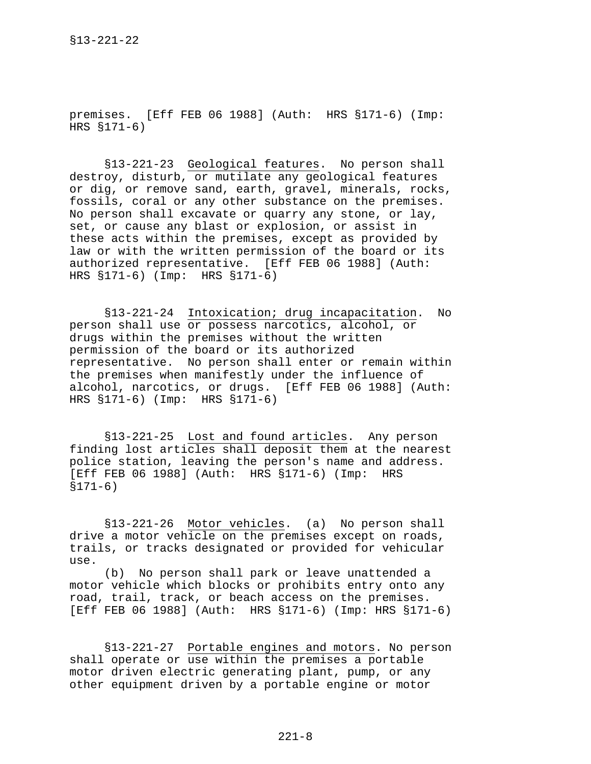<span id="page-7-0"></span>premises. [Eff FEB 06 1988] (Auth: HRS §171-6) (Imp: HRS §171-6)

§13-221-23 Geological features. No person shall destroy, disturb, or mutilate any geological features or dig, or remove sand, earth, gravel, minerals, rocks, fossils, coral or any other substance on the premises. No person shall excavate or quarry any stone, or lay, set, or cause any blast or explosion, or assist in these acts within the premises, except as provided by law or with the written permission of the board or its authorized representative. [Eff FEB 06 1988] (Auth: HRS §171-6) (Imp: HRS §171-6)

§13-221-24 Intoxication; drug incapacitation. No person shall use or possess narcotics, alcohol, or drugs within the premises without the written permission of the board or its authorized representative. No person shall enter or remain within the premises when manifestly under the influence of alcohol, narcotics, or drugs. [Eff FEB 06 1988] (Auth: HRS §171-6) (Imp: HRS §171-6)

§13-221-25 Lost and found articles. Any person finding lost articles shall deposit them at the nearest police station, leaving the person's name and address. [Eff FEB 06 1988] (Auth: HRS §171-6) (Imp: HRS §171-6)

§13-221-26 Motor vehicles. (a) No person shall drive a motor vehicle on the premises except on roads, trails, or tracks designated or provided for vehicular use.

(b) No person shall park or leave unattended a motor vehicle which blocks or prohibits entry onto any road, trail, track, or beach access on the premises. [Eff FEB 06 1988] (Auth: HRS §171-6) (Imp: HRS §171-6)

§13-221-27 Portable engines and motors. No person shall operate or use within the premises a portable motor driven electric generating plant, pump, or any other equipment driven by a portable engine or motor

 $221 - 8$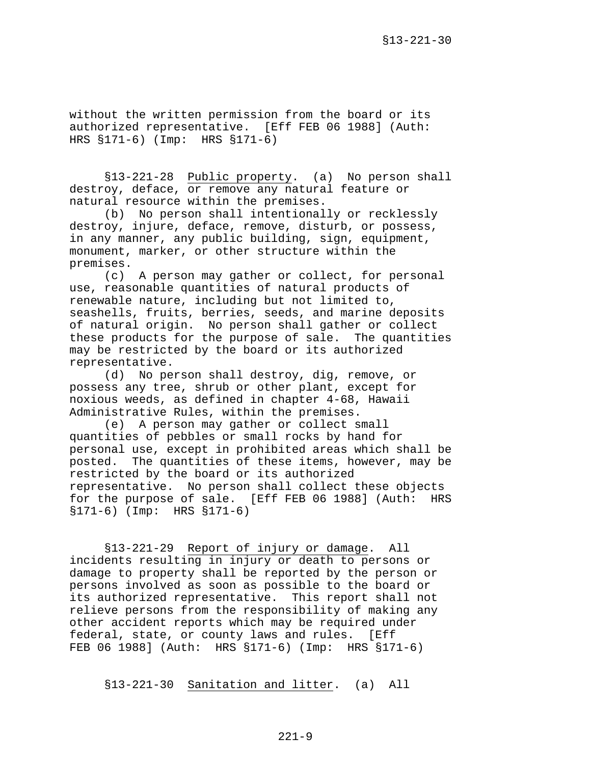<span id="page-8-0"></span>without the written permission from the board or its authorized representative. [Eff FEB 06 1988] (Auth: HRS §171-6) (Imp: HRS §171-6)

§13-221-28 Public property. (a) No person shall destroy, deface, or remove any natural feature or natural resource within the premises.

(b) No person shall intentionally or recklessly destroy, injure, deface, remove, disturb, or possess, in any manner, any public building, sign, equipment, monument, marker, or other structure within the premises.

(c) A person may gather or collect, for personal use, reasonable quantities of natural products of renewable nature, including but not limited to, seashells, fruits, berries, seeds, and marine deposits of natural origin. No person shall gather or collect these products for the purpose of sale. The quantities may be restricted by the board or its authorized representative.

(d) No person shall destroy, dig, remove, or possess any tree, shrub or other plant, except for noxious weeds, as defined in chapter 4-68, Hawaii Administrative Rules, within the premises.

(e) A person may gather or collect small quantities of pebbles or small rocks by hand for personal use, except in prohibited areas which shall be posted. The quantities of these items, however, may be restricted by the board or its authorized representative. No person shall collect these objects for the purpose of sale. [Eff FEB 06 1988] (Auth: HRS §171-6) (Imp: HRS §171-6)

§13-221-29 Report of injury or damage. All incidents resulting in injury or death to persons or damage to property shall be reported by the person or persons involved as soon as possible to the board or its authorized representative. This report shall not relieve persons from the responsibility of making any other accident reports which may be required under federal, state, or county laws and rules. [Eff FEB 06 1988] (Auth: HRS §171-6) (Imp: HRS §171-6)

§13-221-30 Sanitation and litter. (a) All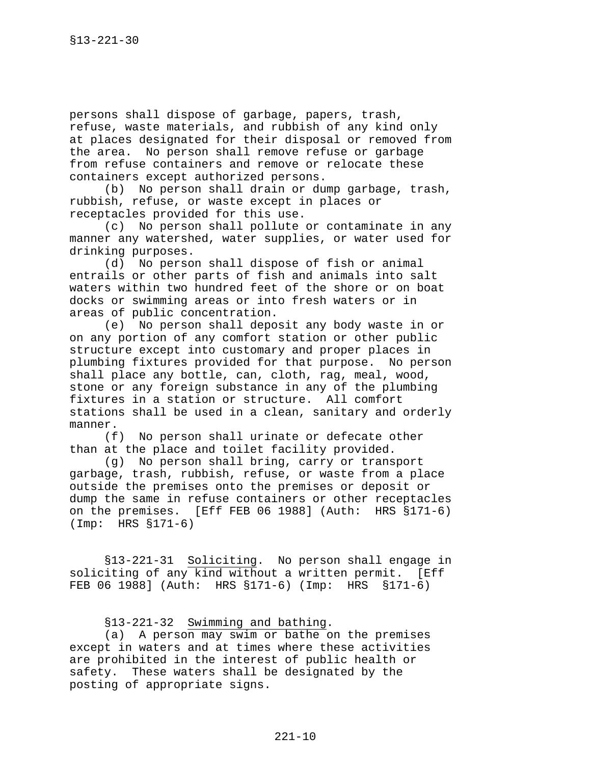<span id="page-9-0"></span>persons shall dispose of garbage, papers, trash, refuse, waste materials, and rubbish of any kind only at places designated for their disposal or removed from the area. No person shall remove refuse or garbage from refuse containers and remove or relocate these containers except authorized persons.

(b) No person shall drain or dump garbage, trash, rubbish, refuse, or waste except in places or receptacles provided for this use.

(c) No person shall pollute or contaminate in any manner any watershed, water supplies, or water used for drinking purposes.

(d) No person shall dispose of fish or animal entrails or other parts of fish and animals into salt waters within two hundred feet of the shore or on boat docks or swimming areas or into fresh waters or in areas of public concentration.

(e) No person shall deposit any body waste in or on any portion of any comfort station or other public structure except into customary and proper places in plumbing fixtures provided for that purpose. No person shall place any bottle, can, cloth, rag, meal, wood, stone or any foreign substance in any of the plumbing fixtures in a station or structure. All comfort stations shall be used in a clean, sanitary and orderly manner.

(f) No person shall urinate or defecate other than at the place and toilet facility provided.

(g) No person shall bring, carry or transport garbage, trash, rubbish, refuse, or waste from a place outside the premises onto the premises or deposit or dump the same in refuse containers or other receptacles on the premises. [Eff FEB 06 1988] (Auth: HRS §171-6) (Imp: HRS §171-6)

§13-221-31 Soliciting. No person shall engage in soliciting of any kind without a written permit. [Eff FEB 06 1988] (Auth: HRS §171-6) (Imp: HRS §171-6)

§13-221-32 Swimming and bathing.

(a) A person may swim or bathe on the premises except in waters and at times where these activities are prohibited in the interest of public health or safety. These waters shall be designated by the posting of appropriate signs.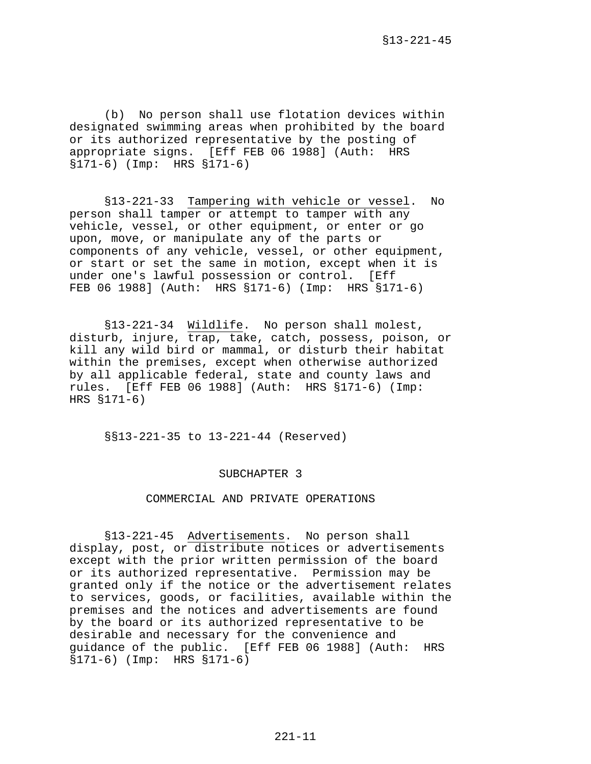<span id="page-10-0"></span>(b) No person shall use flotation devices within designated swimming areas when prohibited by the board or its authorized representative by the posting of appropriate signs. [Eff FEB 06 1988] (Auth: HRS §171-6) (Imp: HRS §171-6)

§13-221-33 Tampering with vehicle or vessel. No person shall tamper or attempt to tamper with any vehicle, vessel, or other equipment, or enter or go upon, move, or manipulate any of the parts or components of any vehicle, vessel, or other equipment, or start or set the same in motion, except when it is under one's lawful possession or control. [Eff FEB 06 1988] (Auth: HRS §171-6) (Imp: HRS §171-6)

§13-221-34 Wildlife. No person shall molest, disturb, injure, trap, take, catch, possess, poison, or kill any wild bird or mammal, or disturb their habitat within the premises, except when otherwise authorized by all applicable federal, state and county laws and rules. [Eff FEB 06 1988] (Auth: HRS §171-6) (Imp: HRS §171-6)

§§13-221-35 to 13-221-44 (Reserved)

#### SUBCHAPTER 3

# COMMERCIAL AND PRIVATE OPERATIONS

§13-221-45 Advertisements. No person shall display, post, or distribute notices or advertisements except with the prior written permission of the board or its authorized representative. Permission may be granted only if the notice or the advertisement relates to services, goods, or facilities, available within the premises and the notices and advertisements are found by the board or its authorized representative to be desirable and necessary for the convenience and guidance of the public. [Eff FEB 06 1988] (Auth: HRS §171-6) (Imp: HRS §171-6)